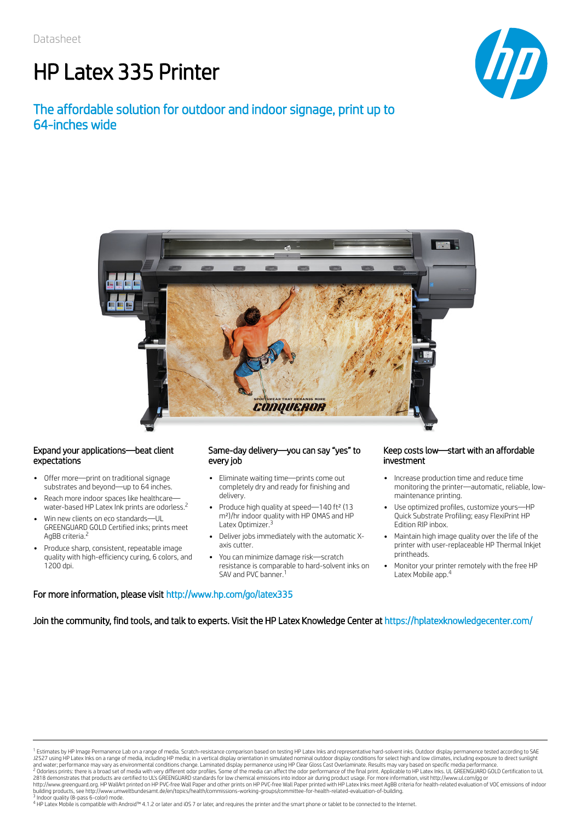# HP Latex 335 Printer

# The affordable solution for outdoor and indoor signage, print up to 64-inches wide





### Expand your applications—beat client expectations

- Offer more—print on traditional signage substrates and beyond—up to 64 inches.
- Reach more indoor spaces like healthcare water-based HP Latex Ink prints are odorless. 2
- Win new clients on eco standards—UL GREENGUARD GOLD Certified inks; prints meet AgBB criteria.<sup>2</sup>
- Produce sharp, consistent, repeatable image quality with high-efficiency curing, 6 colors, and 1200 dpi.

### Same-day delivery—you can say "yes" to every job

- Eliminate waiting time—prints come out completely dry and ready for finishing and delivery.
- Produce high quality at speed—140 ft<sup>2</sup> (13 m²)/hr indoor quality with HP OMAS and HP Latex Optimizer.<sup>3</sup>
- Deliver jobs immediately with the automatic Xaxis cutter.
- You can minimize damage risk—scratch resistance is comparable to hard-solvent inks on SAV and PVC banner.<sup>1</sup> 1 Latex Mobile app.<sup>4</sup>

### Keep costs low—start with an affordable investment

- Increase production time and reduce time monitoring the printer—automatic, reliable, lowmaintenance printing.
- Use optimized profiles, customize yours—HP Quick Substrate Profiling; easy FlexiPrint HP Edition RIP inbox.
- Maintain high image quality over the life of the printer with user-replaceable HP Thermal Inkjet printheads.
- Monitor your printer remotely with the free HP

## For more information, please visit http://www.hp.com/go/latex335

Join the community, find tools, and talk to experts. Visit the HP Latex Knowledge Center at https://hplatexknowledgecenter.com/

<sup>1</sup> Estimates by HP Image Permanence Lab on a range of media. Scratch-resistance comparison based on testing HP Latex Inks and representative hard-solvent inks. Outdoor display permanence tested according to SAE<br>J2527 usin <sup>1</sup> Estimates by HP Image Permanence Lab on a range of media. Scratch-resistance comparison based on testing HP Latex Inks and representative hard-solvent inks. Outdoor display permanence tested according to SAE 2 3

<sup>4</sup> HP Latex Mobile is compatible with Android™ 4.1.2 or later and iOS 7 or later, and requires the printer and the smart phone or tablet to be connected to the Internet.